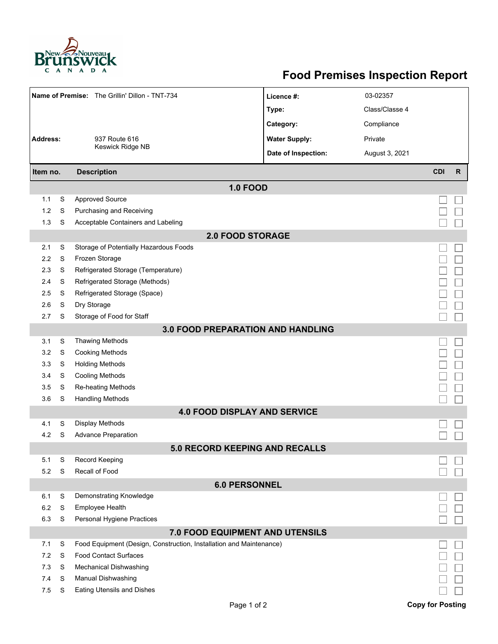

## **Food Premises Inspection Report**

| Name of Premise: The Grillin' Dillon - TNT-734                                                                     |                      |                                               | Licence #:           | 03-02357       |                         |              |  |  |  |  |
|--------------------------------------------------------------------------------------------------------------------|----------------------|-----------------------------------------------|----------------------|----------------|-------------------------|--------------|--|--|--|--|
|                                                                                                                    |                      |                                               | Type:                | Class/Classe 4 |                         |              |  |  |  |  |
|                                                                                                                    |                      |                                               | Category:            | Compliance     |                         |              |  |  |  |  |
| <b>Address:</b><br>937 Route 616                                                                                   |                      |                                               | <b>Water Supply:</b> | Private        |                         |              |  |  |  |  |
|                                                                                                                    |                      | Keswick Ridge NB                              | Date of Inspection:  | August 3, 2021 |                         |              |  |  |  |  |
|                                                                                                                    |                      |                                               |                      |                | <b>CDI</b>              | $\mathsf{R}$ |  |  |  |  |
| <b>Description</b><br>Item no.                                                                                     |                      |                                               |                      |                |                         |              |  |  |  |  |
|                                                                                                                    |                      | <b>1.0 FOOD</b>                               |                      |                |                         |              |  |  |  |  |
| 1.1                                                                                                                | S                    | <b>Approved Source</b>                        |                      |                |                         |              |  |  |  |  |
| 1.2                                                                                                                | S                    | Purchasing and Receiving                      |                      |                |                         |              |  |  |  |  |
| 1.3                                                                                                                | S                    | Acceptable Containers and Labeling            |                      |                |                         |              |  |  |  |  |
| <b>2.0 FOOD STORAGE</b>                                                                                            |                      |                                               |                      |                |                         |              |  |  |  |  |
| 2.1                                                                                                                | S                    | Storage of Potentially Hazardous Foods        |                      |                |                         |              |  |  |  |  |
| 2.2                                                                                                                | S                    | Frozen Storage                                |                      |                |                         |              |  |  |  |  |
| 2.3                                                                                                                | S                    | Refrigerated Storage (Temperature)            |                      |                |                         |              |  |  |  |  |
| 2.4                                                                                                                | S                    | Refrigerated Storage (Methods)                |                      |                |                         |              |  |  |  |  |
| 2.5                                                                                                                | S                    | Refrigerated Storage (Space)                  |                      |                |                         |              |  |  |  |  |
| 2.6                                                                                                                | S                    | Dry Storage                                   |                      |                |                         |              |  |  |  |  |
| 2.7                                                                                                                | S                    | Storage of Food for Staff                     |                      |                |                         |              |  |  |  |  |
| <b>3.0 FOOD PREPARATION AND HANDLING</b>                                                                           |                      |                                               |                      |                |                         |              |  |  |  |  |
| 3.1                                                                                                                | S                    | <b>Thawing Methods</b>                        |                      |                |                         |              |  |  |  |  |
| 3.2                                                                                                                | S                    | <b>Cooking Methods</b>                        |                      |                |                         |              |  |  |  |  |
| 3.3                                                                                                                | S                    | <b>Holding Methods</b>                        |                      |                |                         |              |  |  |  |  |
| 3.4                                                                                                                | S                    | <b>Cooling Methods</b>                        |                      |                |                         |              |  |  |  |  |
| 3.5<br>3.6                                                                                                         | S<br>S               | Re-heating Methods<br><b>Handling Methods</b> |                      |                |                         |              |  |  |  |  |
|                                                                                                                    |                      | <b>4.0 FOOD DISPLAY AND SERVICE</b>           |                      |                |                         |              |  |  |  |  |
|                                                                                                                    | S                    | <b>Display Methods</b>                        |                      |                |                         |              |  |  |  |  |
| 4.1<br>4.2                                                                                                         | S                    | <b>Advance Preparation</b>                    |                      |                |                         |              |  |  |  |  |
|                                                                                                                    |                      | <b>5.0 RECORD KEEPING AND RECALLS</b>         |                      |                |                         |              |  |  |  |  |
| 5.1                                                                                                                | S                    | <b>Record Keeping</b>                         |                      |                |                         |              |  |  |  |  |
| 5.2                                                                                                                | S                    | Recall of Food                                |                      |                |                         |              |  |  |  |  |
|                                                                                                                    | <b>6.0 PERSONNEL</b> |                                               |                      |                |                         |              |  |  |  |  |
| 6.1                                                                                                                | S                    | Demonstrating Knowledge                       |                      |                |                         |              |  |  |  |  |
| 6.2                                                                                                                | S                    | Employee Health                               |                      |                |                         |              |  |  |  |  |
| 6.3                                                                                                                | S                    | Personal Hygiene Practices                    |                      |                |                         |              |  |  |  |  |
|                                                                                                                    |                      |                                               |                      |                |                         |              |  |  |  |  |
| 7.0 FOOD EQUIPMENT AND UTENSILS<br>7.1<br>S<br>Food Equipment (Design, Construction, Installation and Maintenance) |                      |                                               |                      |                |                         |              |  |  |  |  |
| 7.2                                                                                                                | S                    | <b>Food Contact Surfaces</b>                  |                      |                |                         |              |  |  |  |  |
| 7.3                                                                                                                | S                    | <b>Mechanical Dishwashing</b>                 |                      |                |                         |              |  |  |  |  |
| 7.4                                                                                                                | S                    | Manual Dishwashing                            |                      |                |                         |              |  |  |  |  |
| 7.5                                                                                                                | S                    | <b>Eating Utensils and Dishes</b>             |                      |                |                         |              |  |  |  |  |
|                                                                                                                    |                      | Page 1 of 2                                   |                      |                | <b>Copy for Posting</b> |              |  |  |  |  |